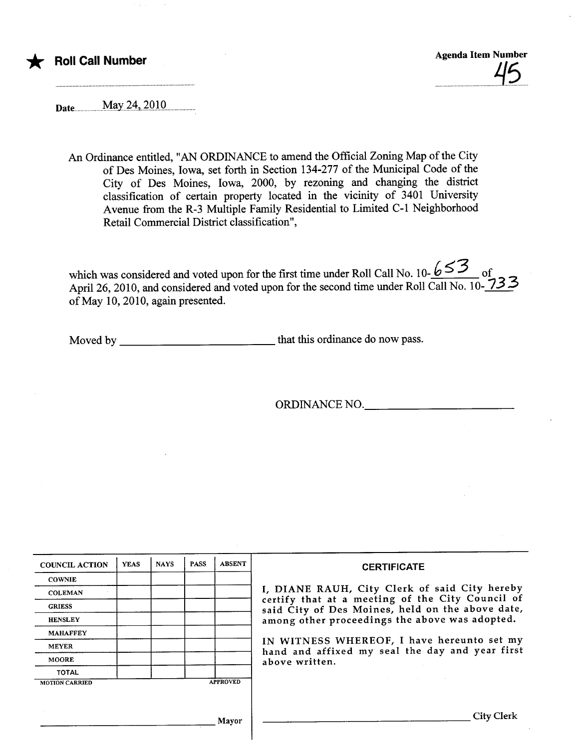## **Roll Call Number**

Agenda Item Number  $\overline{\phantom{a}}$ 

Date..............May.i.4,.i.QiQ...............

.............................

An Ordinance entitled, "AN ORDINANCE to amend the Official Zoning Map of the City of Des Moines, Iowa, set forth in Section 134-277 of the Muncipal Code of the City of Des Moines, Iowa, 2000, by rezoning and changing the district classification of certin property located in the vicinity of 3401 University Avenue from the R-3 Multiple Family Residential to Limited C-1 Neighborhood Retail Commercial District classification",

which was considered and voted upon for the first time under Roll Call No. 10- $\frac{653}{ }$  of April 26, 2010, and considered and voted upon for the second time under Roll Call No. 10-233 of May 10, 2010, again presented.

Moved by that this ordinance do now pass.

ORDINANCE NO.

| <b>COUNCIL ACTION</b> | <b>YEAS</b> | <b>NAYS</b> | <b>PASS</b> | <b>ABSENT</b>   | <b>CERTIFICATE</b>                                                                                   |
|-----------------------|-------------|-------------|-------------|-----------------|------------------------------------------------------------------------------------------------------|
| <b>COWNIE</b>         |             |             |             |                 |                                                                                                      |
| <b>COLEMAN</b>        |             |             |             |                 | I, DIANE RAUH, City Clerk of said City hereby                                                        |
| <b>GRIESS</b>         |             |             |             |                 | certify that at a meeting of the City Council of<br>said City of Des Moines, held on the above date, |
| <b>HENSLEY</b>        |             |             |             |                 | among other proceedings the above was adopted.                                                       |
| <b>MAHAFFEY</b>       |             |             |             |                 |                                                                                                      |
| <b>MEYER</b>          |             |             |             |                 | IN WITNESS WHEREOF, I have hereunto set my<br>hand and affixed my seal the day and year first        |
| <b>MOORE</b>          |             |             |             |                 | above written.                                                                                       |
| <b>TOTAL</b>          |             |             |             |                 |                                                                                                      |
| <b>MOTION CARRIED</b> |             |             |             | <b>APPROVED</b> |                                                                                                      |
|                       |             |             |             |                 |                                                                                                      |
|                       |             |             |             | Mavor           | City Clerk                                                                                           |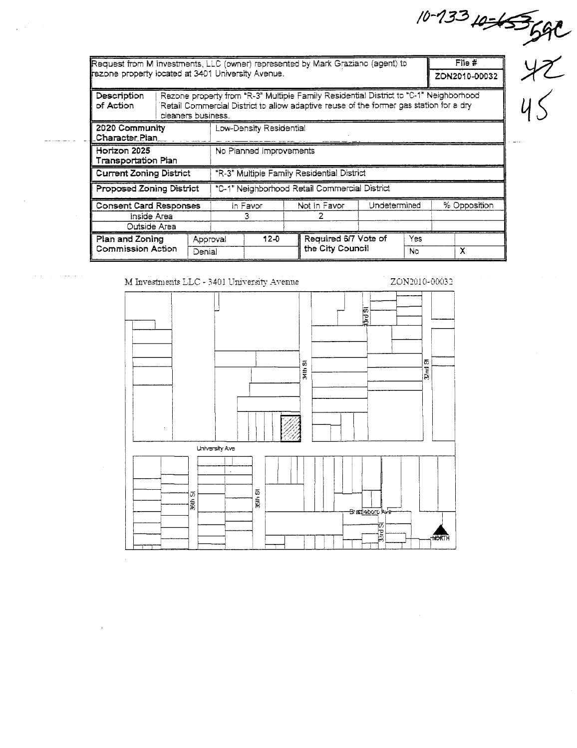|                                                    |                                                                                                                                                                                                       |                                               |                                            |              |                                                                                 |  |              | $10-133 + 455$         |  |  |  |
|----------------------------------------------------|-------------------------------------------------------------------------------------------------------------------------------------------------------------------------------------------------------|-----------------------------------------------|--------------------------------------------|--------------|---------------------------------------------------------------------------------|--|--------------|------------------------|--|--|--|
| fezone property located at 3401 University Avenue. |                                                                                                                                                                                                       |                                               |                                            |              | Request from M Investments, LLC (owner) represented by Mark Graziano (agent) to |  |              | File#<br>ZON2010-00032 |  |  |  |
| Description<br>of Action                           | Rezone property from "R-3" Multiple Family Residential District to "C-1" Neighborhood<br>Retail Commercial District to allow adaptive reuse of the former gas station for a dry<br>cleaners business. |                                               |                                            |              |                                                                                 |  |              |                        |  |  |  |
| 2020 Community<br>Character Plan                   |                                                                                                                                                                                                       |                                               | Low-Density Residential                    |              |                                                                                 |  |              |                        |  |  |  |
| Horizon 2025<br>Transportation Plan                |                                                                                                                                                                                                       |                                               | No Planned Improvements                    |              |                                                                                 |  |              |                        |  |  |  |
| <b>Current Zoning District</b>                     |                                                                                                                                                                                                       |                                               | "R-3" Multiple Family Residential District |              |                                                                                 |  |              |                        |  |  |  |
| Proposed Zoning District                           |                                                                                                                                                                                                       | "C-1" Neighborhood Retail Commercial District |                                            |              |                                                                                 |  |              |                        |  |  |  |
| <b>Consent Card Responses</b><br>Inside Area       |                                                                                                                                                                                                       | In Favor<br>3                                 |                                            | Not In Favor | Undetermined                                                                    |  | % Opposition |                        |  |  |  |
| Outside Area                                       |                                                                                                                                                                                                       |                                               |                                            |              |                                                                                 |  |              |                        |  |  |  |
| Plan and Zoning<br>Commission Action               |                                                                                                                                                                                                       | Denial                                        | Approval                                   | $12 - 0$     | Required 6/7 Vote of<br>the City Council                                        |  | Yes<br>No    | X                      |  |  |  |

M Investments LLC - 3401 University Avenue

 $\bar{a}$ 

 $\sim$ 



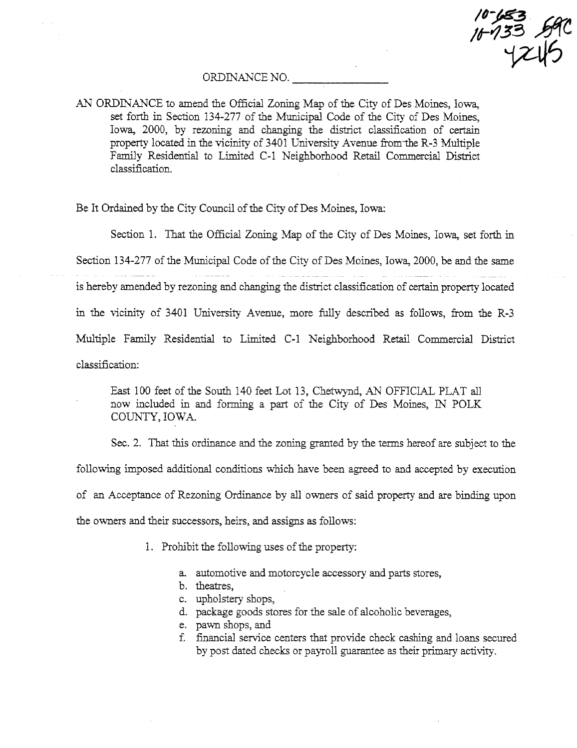$10 - 653$ 16933 B9C<br>1745

## ORDINANCE NO.

AN ORDINANCE to amend the Official Zoning Map of the City of Des Moines, Iowa, set forth in Section 134-277 of the Municipal Code of the City of Des Moines, Iowa, 2000, by rezoning and changing the district classification of certain property located in the vicinity of 3401 University Avenue from the R-3 Multiple Family Residential to Limited C-1 Neighborhood Retail Commercial District classifcation.

Be It Ordained by the City Council of the City of Des Moines, Iowa:

Section 1. That the Official Zoning Map of the City of Des Moines, Iowa, set forth in

Section 134-277 of the Municipal Code of the City of Des Moines, Iowa, 2000, be and the same is hereby amended by rezoning and changing the district classification of certain property located in the vicinity of 3401 University Avenue, more fully described as follows, from the R-3 Multiple Family Residential to Limited C-1 Neighborhood Retail Commercial District classifcation:

East 100 feet of the South 140 feet Lot 13, Chetwynd, AN OFFICIAL PLAT all now included in and forming a part of the City of Des Moines, IN POLK COUNTY, IOWA.

Sec. 2. That this ordinance and the zoning granted by the terms hereof are subject to the following imposed additional conditions which have been agreed to and accepted by execution of an Acceptance of Rezoning Ordinance by all owners of said property and are binding upon the owners and their successors, heirs, and assigns as follows:

- 1. Prohibit the following uses of the property:
	- a. automotive and motorcycle accessory and parts stores,
	- b. theatres,
	- c. upholstery shops,
	- d. package goods stores for the sale of alcoholic beverages,
	- e. pawn shops, and
	- f. financial service centers that provide check cashing and loans secured by post dated checks or payroll guarantee as their primary activity.